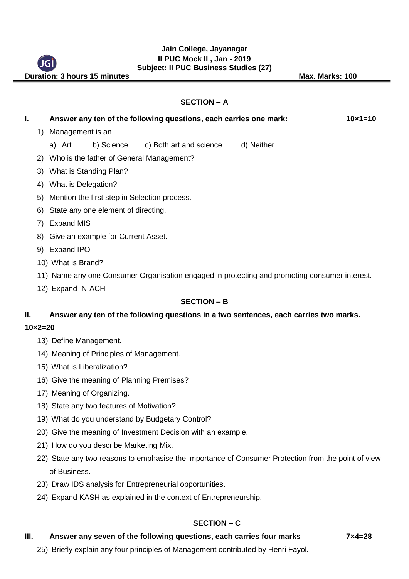#### **Jain College, Jayanagar II PUC Mock II , Jan - 2019 Subject: II PUC Business Studies (27)**

**Duration: 3 hours 15 minutes May. Max. Marks: 100** 

#### **SECTION – A**

| Ι.                      |                                                    | Answer any ten of the following questions, each carries one mark:                             |  |                                    |            | $10 \times 1 = 10$ |
|-------------------------|----------------------------------------------------|-----------------------------------------------------------------------------------------------|--|------------------------------------|------------|--------------------|
|                         | 1) Management is an                                |                                                                                               |  |                                    |            |                    |
|                         |                                                    | a) Art                                                                                        |  | b) Science c) Both art and science | d) Neither |                    |
|                         | 2) Who is the father of General Management?        |                                                                                               |  |                                    |            |                    |
|                         | What is Standing Plan?<br>3)                       |                                                                                               |  |                                    |            |                    |
|                         | What is Delegation?<br>4)                          |                                                                                               |  |                                    |            |                    |
|                         | Mention the first step in Selection process.<br>5) |                                                                                               |  |                                    |            |                    |
|                         | State any one element of directing.<br>6)          |                                                                                               |  |                                    |            |                    |
| <b>Expand MIS</b><br>7) |                                                    |                                                                                               |  |                                    |            |                    |
|                         | 8) Give an example for Current Asset.              |                                                                                               |  |                                    |            |                    |
| 9) Expand IPO           |                                                    |                                                                                               |  |                                    |            |                    |
| 10) What is Brand?      |                                                    |                                                                                               |  |                                    |            |                    |
|                         |                                                    | 11) Name any one Consumer Organisation engaged in protecting and promoting consumer interest. |  |                                    |            |                    |
|                         | 12) Expand N-ACH                                   |                                                                                               |  |                                    |            |                    |
| <b>SECTION - B</b>      |                                                    |                                                                                               |  |                                    |            |                    |
| Ш.                      |                                                    | Answer any ten of the following questions in a two sentences, each carries two marks.         |  |                                    |            |                    |
| $10 \times 2 = 20$      |                                                    |                                                                                               |  |                                    |            |                    |
|                         |                                                    | 13) Define Management.                                                                        |  |                                    |            |                    |
|                         |                                                    | 14) Meaning of Principles of Management.                                                      |  |                                    |            |                    |

- 15) What is Liberalization?
- 16) Give the meaning of Planning Premises?
- 17) Meaning of Organizing.
- 18) State any two features of Motivation?
- 19) What do you understand by Budgetary Control?
- 20) Give the meaning of Investment Decision with an example.
- 21) How do you describe Marketing Mix.
- 22) State any two reasons to emphasise the importance of Consumer Protection from the point of view of Business.
- 23) Draw IDS analysis for Entrepreneurial opportunities.
- 24) Expand KASH as explained in the context of Entrepreneurship.

### **SECTION – C**

#### **III.** Answer any seven of the following questions, each carries four marks 7x4=28

25) Briefly explain any four principles of Management contributed by Henri Fayol.